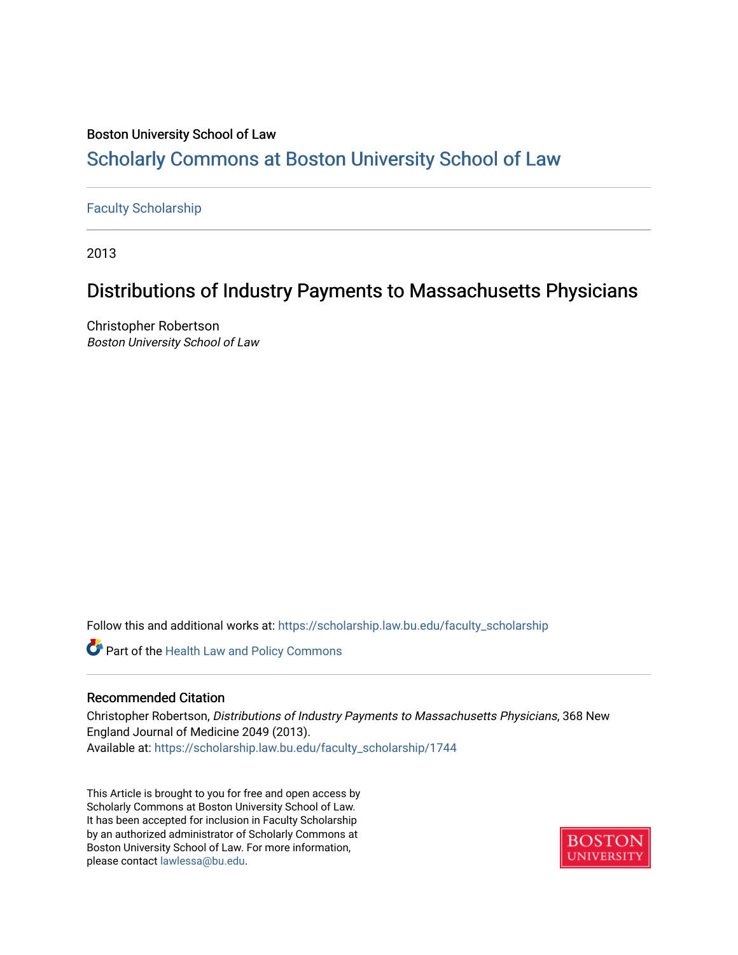## Boston University School of Law [Scholarly Commons at Boston University School of Law](https://scholarship.law.bu.edu/)

### [Faculty Scholarship](https://scholarship.law.bu.edu/faculty_scholarship)

2013

# Distributions of Industry Payments to Massachusetts Physicians

Christopher Robertson Boston University School of Law

Follow this and additional works at: [https://scholarship.law.bu.edu/faculty\\_scholarship](https://scholarship.law.bu.edu/faculty_scholarship?utm_source=scholarship.law.bu.edu%2Ffaculty_scholarship%2F1744&utm_medium=PDF&utm_campaign=PDFCoverPages)

Part of the [Health Law and Policy Commons](http://network.bepress.com/hgg/discipline/901?utm_source=scholarship.law.bu.edu%2Ffaculty_scholarship%2F1744&utm_medium=PDF&utm_campaign=PDFCoverPages) 

#### Recommended Citation

Christopher Robertson, Distributions of Industry Payments to Massachusetts Physicians, 368 New England Journal of Medicine 2049 (2013). Available at: [https://scholarship.law.bu.edu/faculty\\_scholarship/1744](https://scholarship.law.bu.edu/faculty_scholarship/1744?utm_source=scholarship.law.bu.edu%2Ffaculty_scholarship%2F1744&utm_medium=PDF&utm_campaign=PDFCoverPages)

This Article is brought to you for free and open access by Scholarly Commons at Boston University School of Law. It has been accepted for inclusion in Faculty Scholarship by an authorized administrator of Scholarly Commons at Boston University School of Law. For more information, please contact [lawlessa@bu.edu](mailto:lawlessa@bu.edu).

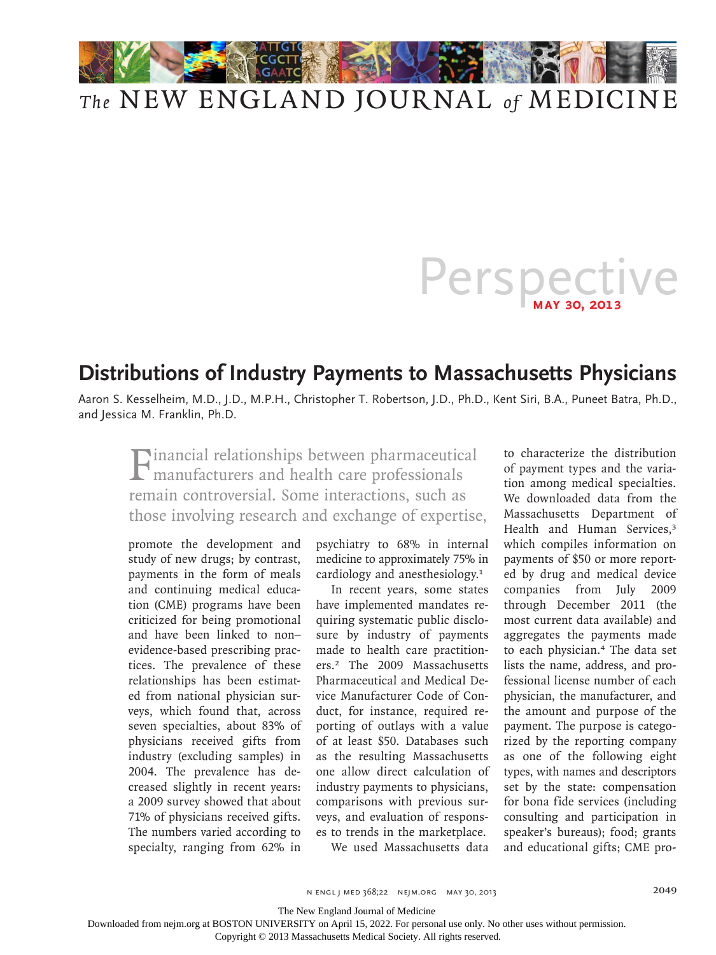

# *The* NEW ENGLAND JOURNAL *of* MEDICINE

# Perspective

# **Distributions of Industry Payments to Massachusetts Physicians**

Aaron S. Kesselheim, M.D., J.D., M.P.H., Christopher T. Robertson, J.D., Ph.D., Kent Siri, B.A., Puneet Batra, Ph.D., and Jessica M. Franklin, Ph.D.

Financial relationships between pharmaceutical manufacturers and health care professionals remain controversial. Some interactions, such as those involving research and exchange of expertise,

promote the development and study of new drugs; by contrast, payments in the form of meals and continuing medical education (CME) programs have been criticized for being promotional and have been linked to non– evidence-based prescribing practices. The prevalence of these relationships has been estimated from national physician surveys, which found that, across seven specialties, about 83% of physicians received gifts from industry (excluding samples) in 2004. The prevalence has decreased slightly in recent years: a 2009 survey showed that about 71% of physicians received gifts. The numbers varied according to specialty, ranging from 62% in

psychiatry to 68% in internal medicine to approximately 75% in cardiology and anesthesiology.<sup>1</sup>

In recent years, some states have implemented mandates requiring systematic public disclosure by industry of payments made to health care practitioners.2 The 2009 Massachusetts Pharmaceutical and Medical Device Manufacturer Code of Conduct, for instance, required reporting of outlays with a value of at least \$50. Databases such as the resulting Massachusetts one allow direct calculation of industry payments to physicians, comparisons with previous surveys, and evaluation of responses to trends in the marketplace. We used Massachusetts data

to characterize the distribution of payment types and the variation among medical specialties. We downloaded data from the Massachusetts Department of Health and Human Services,<sup>3</sup> which compiles information on payments of \$50 or more reported by drug and medical device companies from July 2009 through December 2011 (the most current data available) and aggregates the payments made to each physician.4 The data set lists the name, address, and professional license number of each physician, the manufacturer, and the amount and purpose of the payment. The purpose is categorized by the reporting company as one of the following eight types, with names and descriptors set by the state: compensation for bona fide services (including consulting and participation in speaker's bureaus); food; grants and educational gifts; CME pro-

n engl j med 368;22 nejm.org may 30, 2013 2049

The New England Journal of Medicine

Downloaded from nejm.org at BOSTON UNIVERSITY on April 15, 2022. For personal use only. No other uses without permission.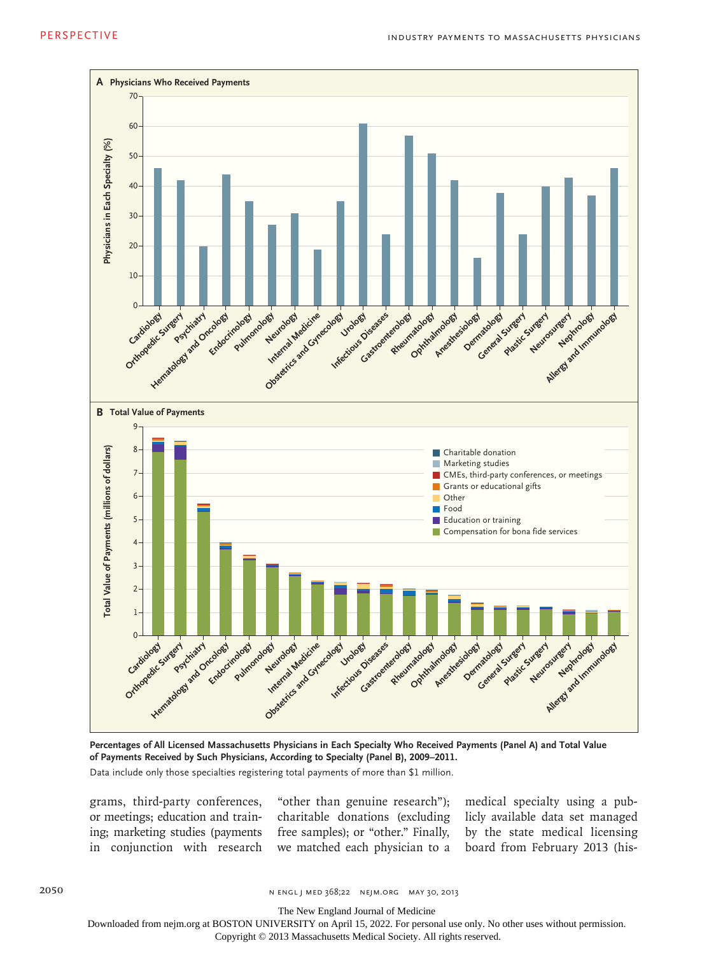

**Percentages of All Licensed Massachusetts Physicians in Each Specialty Who Received Payments (Panel A) and Total Value of Payments Received by Such Physicians, According to Specialty (Panel B), 2009–2011.** Data include only those specialties registering total payments of more than \$1 million.

grams, third-party conferences, or meetings; education and training; marketing studies (payments in conjunction with research

"other than genuine research"); charitable donations (excluding free samples); or "other." Finally, we matched each physician to a

medical specialty using a publicly available data set managed by the state medical licensing board from February 2013 (his-

2050 n engl j med 368;22 nejm.org may 30, 2013

The New England Journal of Medicine

Downloaded from nejm.org at BOSTON UNIVERSITY on April 15, 2022. For personal use only. No other uses without permission.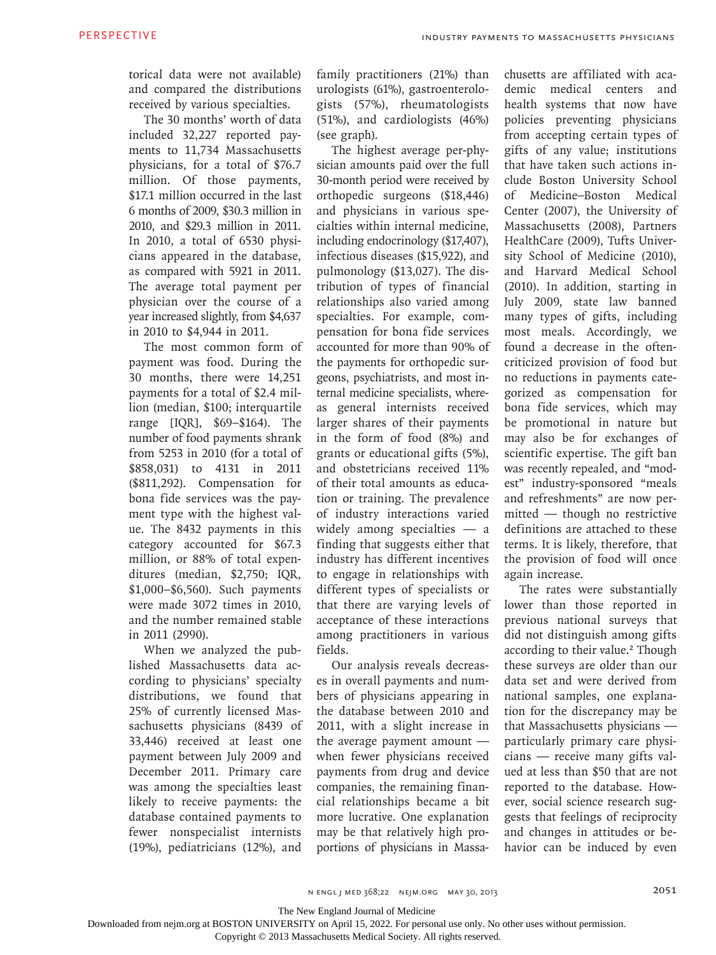torical data were not available) and compared the distributions received by various specialties.

The 30 months' worth of data included 32,227 reported payments to 11,734 Massachusetts physicians, for a total of \$76.7 million. Of those payments, \$17.1 million occurred in the last 6 months of 2009, \$30.3 million in 2010, and \$29.3 million in 2011. In 2010, a total of 6530 physicians appeared in the database, as compared with 5921 in 2011. The average total payment per physician over the course of a year increased slightly, from \$4,637 in 2010 to \$4,944 in 2011.

The most common form of payment was food. During the 30 months, there were 14,251 payments for a total of \$2.4 million (median, \$100; interquartile range [IQR], \$69–\$164). The number of food payments shrank from 5253 in 2010 (for a total of \$858,031) to 4131 in 2011 (\$811,292). Compensation for bona fide services was the payment type with the highest value. The 8432 payments in this category accounted for \$67.3 million, or 88% of total expenditures (median, \$2,750; IQR, \$1,000–\$6,560). Such payments were made 3072 times in 2010, and the number remained stable in 2011 (2990).

When we analyzed the published Massachusetts data according to physicians' specialty distributions, we found that 25% of currently licensed Massachusetts physicians (8439 of 33,446) received at least one payment between July 2009 and December 2011. Primary care was among the specialties least likely to receive payments: the database contained payments to fewer nonspecialist internists (19%), pediatricians (12%), and

family practitioners (21%) than urologists (61%), gastroenterologists (57%), rheumatologists (51%), and cardiologists (46%) (see graph).

The highest average per-physician amounts paid over the full 30-month period were received by orthopedic surgeons (\$18,446) and physicians in various specialties within internal medicine, including endocrinology (\$17,407), infectious diseases (\$15,922), and pulmonology (\$13,027). The distribution of types of financial relationships also varied among specialties. For example, compensation for bona fide services accounted for more than 90% of the payments for orthopedic surgeons, psychiatrists, and most internal medicine specialists, whereas general internists received larger shares of their payments in the form of food (8%) and grants or educational gifts (5%), and obstetricians received 11% of their total amounts as education or training. The prevalence of industry interactions varied widely among specialties — a finding that suggests either that industry has different incentives to engage in relationships with different types of specialists or that there are varying levels of acceptance of these interactions among practitioners in various fields.

Our analysis reveals decreases in overall payments and numbers of physicians appearing in the database between 2010 and 2011, with a slight increase in the average payment amount when fewer physicians received payments from drug and device companies, the remaining financial relationships became a bit more lucrative. One explanation may be that relatively high proportions of physicians in Massachusetts are affiliated with academic medical centers and health systems that now have policies preventing physicians from accepting certain types of gifts of any value; institutions that have taken such actions include Boston University School of Medicine–Boston Medical Center (2007), the University of Massachusetts (2008), Partners HealthCare (2009), Tufts University School of Medicine (2010), and Harvard Medical School (2010). In addition, starting in July 2009, state law banned many types of gifts, including most meals. Accordingly, we found a decrease in the oftencriticized provision of food but no reductions in payments categorized as compensation for bona fide services, which may be promotional in nature but may also be for exchanges of scientific expertise. The gift ban was recently repealed, and "modest" industry-sponsored "meals and refreshments" are now permitted — though no restrictive definitions are attached to these terms. It is likely, therefore, that the provision of food will once again increase.

The rates were substantially lower than those reported in previous national surveys that did not distinguish among gifts according to their value.<sup>2</sup> Though these surveys are older than our data set and were derived from national samples, one explanation for the discrepancy may be that Massachusetts physicians particularly primary care physicians — receive many gifts valued at less than \$50 that are not reported to the database. However, social science research suggests that feelings of reciprocity and changes in attitudes or behavior can be induced by even

The New England Journal of Medicine

Downloaded from nejm.org at BOSTON UNIVERSITY on April 15, 2022. For personal use only. No other uses without permission.